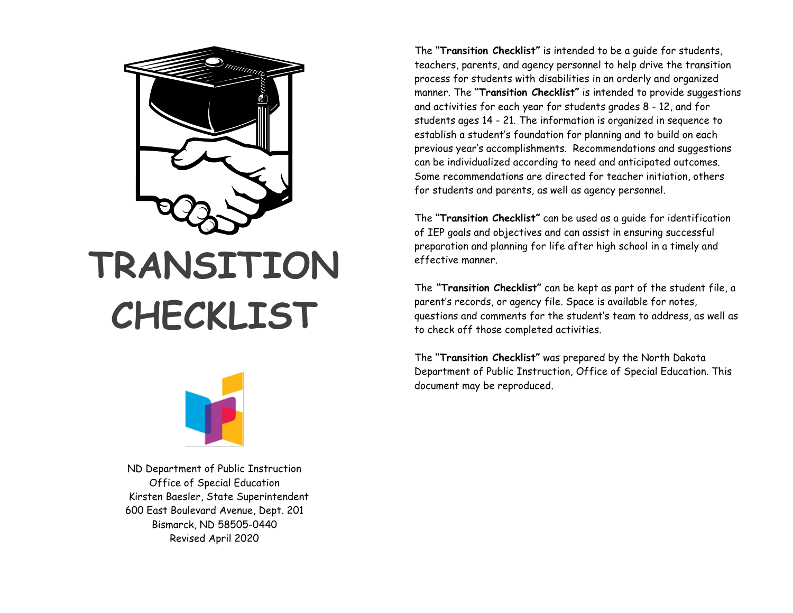

# **TRANSITION CHECKLIST**



ND Department of Public Instruction Office of Special Education Kirsten Baesler, State Superintendent 600 East Boulevard Avenue, Dept. 201 Bismarck, ND 58505-0440 Revised April 2020

The **"Transition Checklist"** is intended to be a guide for students, teachers, parents, and agency personnel to help drive the transition process for students with disabilities in an orderly and organized manner. The **"Transition Checklist"** is intended to provide suggestions and activities for each year for students grades 8 - 12, and for students ages 14 - 21. The information is organized in sequence to establish a student's foundation for planning and to build on each previous year's accomplishments. Recommendations and suggestions can be individualized according to need and anticipated outcomes. Some recommendations are directed for teacher initiation, others for students and parents, as well as agency personnel.

The **"Transition Checklist"** can be used as a guide for identification of IEP goals and objectives and can assist in ensuring successful preparation and planning for life after high school in a timely and effective manner.

The **"Transition Checklist"** can be kept as part of the student file, a parent's records, or agency file. Space is available for notes, questions and comments for the student's team to address, as well as to check off those completed activities.

The **"Transition Checklist"** was prepared by the North Dakota Department of Public Instruction, Office of Special Education. This document may be reproduced.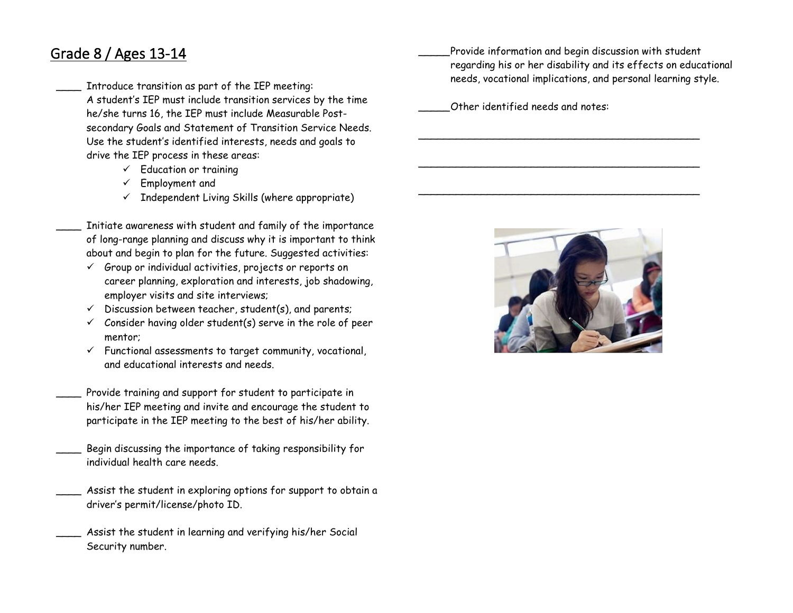## Grade 8 / Ages 13-14

Introduce transition as part of the IEP meeting: A student's IEP must include transition services by the time he/she turns 16, the IEP must include Measurable Postsecondary Goals and Statement of Transition Service Needs. Use the student's identified interests, needs and goals to drive the IEP process in these areas:

- $\checkmark$  Education or training
- $\checkmark$  Employment and
- $\checkmark$  Independent Living Skills (where appropriate)

Initiate awareness with student and family of the importance of long-range planning and discuss why it is important to think about and begin to plan for the future. Suggested activities:

- $\checkmark$  Group or individual activities, projects or reports on career planning, exploration and interests, job shadowing, employer visits and site interviews;
- $\checkmark$  Discussion between teacher, student(s), and parents;
- $\checkmark$  Consider having older student(s) serve in the role of peer mentor;
- $\checkmark$  Functional assessments to target community, vocational, and educational interests and needs.
- Provide training and support for student to participate in his/her IEP meeting and invite and encourage the student to participate in the IEP meeting to the best of his/her ability.
- Begin discussing the importance of taking responsibility for individual health care needs.
- Assist the student in exploring options for support to obtain a driver's permit/license/photo ID.
	- Assist the student in learning and verifying his/her Social Security number.

Provide information and begin discussion with student regarding his or her disability and its effects on educational needs, vocational implications, and personal learning style.

 $\overline{\phantom{a}}$  , and the contract of the contract of the contract of the contract of the contract of the contract of the contract of the contract of the contract of the contract of the contract of the contract of the contrac

\_\_\_\_\_\_\_\_\_\_\_\_\_\_\_\_\_\_\_\_\_\_\_\_\_\_\_\_\_\_\_\_\_\_\_\_\_\_\_\_\_\_\_\_\_

 $\overline{\phantom{a}}$  , and the contract of the contract of the contract of the contract of the contract of the contract of the contract of the contract of the contract of the contract of the contract of the contract of the contrac

Other identified needs and notes:

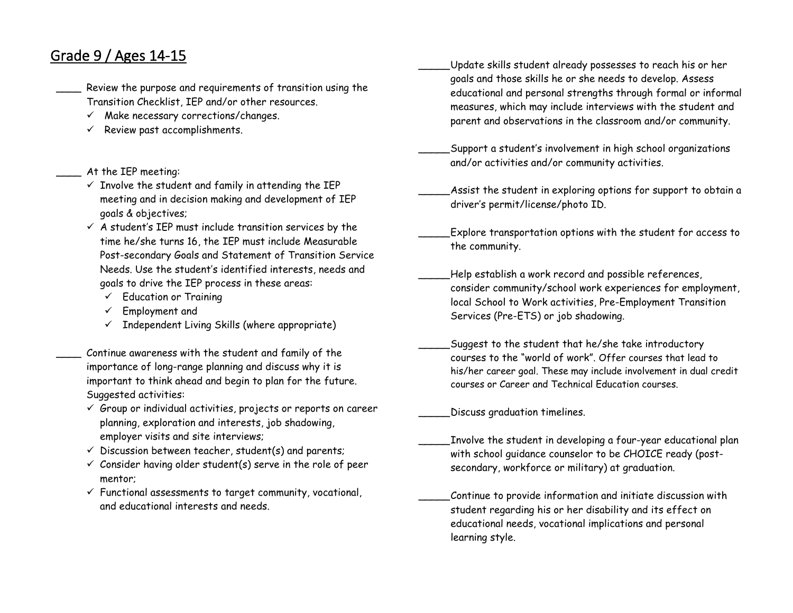#### Grade 9 / Ages 14-15

- Review the purpose and requirements of transition using the Transition Checklist, IEP and/or other resources.
	- $\checkmark$  Make necessary corrections/changes.
	- $\checkmark$  Review past accomplishments.

#### \_\_\_\_ At the IEP meeting:

- $\checkmark$  Involve the student and family in attending the IEP meeting and in decision making and development of IEP goals & objectives;
- $\checkmark$  A student's IEP must include transition services by the time he/she turns 16, the IEP must include Measurable Post-secondary Goals and Statement of Transition Service Needs. Use the student's identified interests, needs and goals to drive the IEP process in these areas:
	- $\checkmark$  Education or Training
	- $\checkmark$  Employment and
	- $\checkmark$  Independent Living Skills (where appropriate)

Continue awareness with the student and family of the importance of long-range planning and discuss why it is important to think ahead and begin to plan for the future. Suggested activities:

- $\checkmark$  Group or individual activities, projects or reports on career planning, exploration and interests, job shadowing, employer visits and site interviews;
- $\checkmark$  Discussion between teacher, student(s) and parents;
- $\checkmark$  Consider having older student(s) serve in the role of peer mentor;
- $\checkmark$  Functional assessments to target community, vocational, and educational interests and needs.
- \_\_\_\_\_Update skills student already possesses to reach his or her goals and those skills he or she needs to develop. Assess educational and personal strengths through formal or informal measures, which may include interviews with the student and parent and observations in the classroom and/or community.
- \_\_\_\_\_Support a student's involvement in high school organizations and/or activities and/or community activities.
- Assist the student in exploring options for support to obtain a driver's permit/license/photo ID.
- \_\_\_\_\_Explore transportation options with the student for access to the community.
- Help establish a work record and possible references, consider community/school work experiences for employment, local School to Work activities, Pre-Employment Transition Services (Pre-ETS) or job shadowing.
	- \_\_\_\_\_Suggest to the student that he/she take introductory courses to the "world of work". Offer courses that lead to his/her career goal. These may include involvement in dual credit courses or Career and Technical Education courses.

\_\_\_\_\_Discuss graduation timelines.

- \_\_\_\_\_Involve the student in developing a four-year educational plan with school guidance counselor to be CHOICE ready (postsecondary, workforce or military) at graduation.
- \_\_\_\_\_Continue to provide information and initiate discussion with student regarding his or her disability and its effect on educational needs, vocational implications and personal learning style.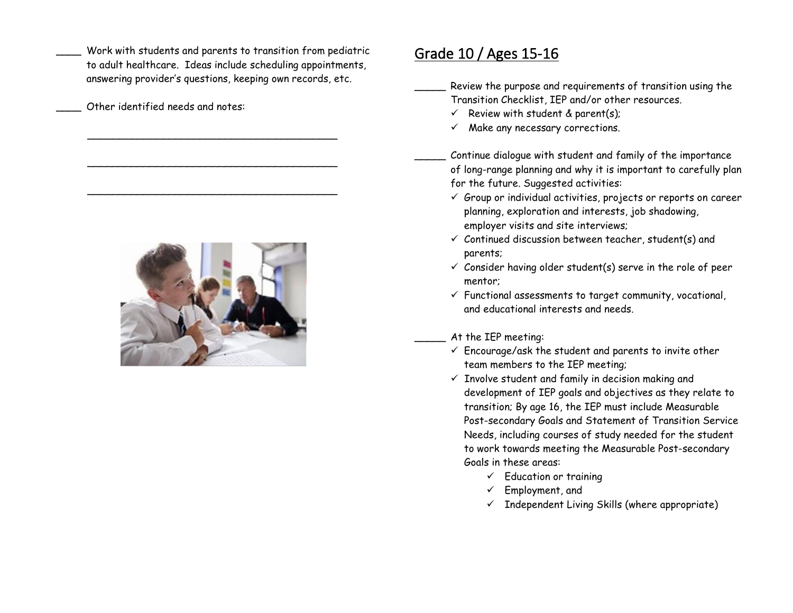- Work with students and parents to transition from pediatric to adult healthcare. Ideas include scheduling appointments, answering provider's questions, keeping own records, etc.
- Other identified needs and notes:

 $\overline{\phantom{a}}$  ,  $\overline{\phantom{a}}$  ,  $\overline{\phantom{a}}$  ,  $\overline{\phantom{a}}$  ,  $\overline{\phantom{a}}$  ,  $\overline{\phantom{a}}$  ,  $\overline{\phantom{a}}$  ,  $\overline{\phantom{a}}$  ,  $\overline{\phantom{a}}$  ,  $\overline{\phantom{a}}$  ,  $\overline{\phantom{a}}$  ,  $\overline{\phantom{a}}$  ,  $\overline{\phantom{a}}$  ,  $\overline{\phantom{a}}$  ,  $\overline{\phantom{a}}$  ,  $\overline{\phantom{a}}$ 

 $\overline{\phantom{a}}$  ,  $\overline{\phantom{a}}$  ,  $\overline{\phantom{a}}$  ,  $\overline{\phantom{a}}$  ,  $\overline{\phantom{a}}$  ,  $\overline{\phantom{a}}$  ,  $\overline{\phantom{a}}$  ,  $\overline{\phantom{a}}$  ,  $\overline{\phantom{a}}$  ,  $\overline{\phantom{a}}$  ,  $\overline{\phantom{a}}$  ,  $\overline{\phantom{a}}$  ,  $\overline{\phantom{a}}$  ,  $\overline{\phantom{a}}$  ,  $\overline{\phantom{a}}$  ,  $\overline{\phantom{a}}$ 

\_\_\_\_\_\_\_\_\_\_\_\_\_\_\_\_\_\_\_\_\_\_\_\_\_\_\_\_\_\_\_\_\_\_\_\_\_\_\_\_



## Grade 10 / Ages 15-16

Review the purpose and requirements of transition using the Transition Checklist, IEP and/or other resources.

- $\checkmark$  Review with student & parent(s);
- $\checkmark$  Make any necessary corrections.

Continue dialogue with student and family of the importance of long-range planning and why it is important to carefully plan for the future. Suggested activities:

- $\checkmark$  Group or individual activities, projects or reports on career planning, exploration and interests, job shadowing, employer visits and site interviews;
- $\checkmark$  Continued discussion between teacher, student(s) and parents;
- $\checkmark$  Consider having older student(s) serve in the role of peer mentor;
- $\checkmark$  Functional assessments to target community, vocational, and educational interests and needs.

#### At the IEP meeting:

- $\checkmark$  Encourage/ask the student and parents to invite other team members to the IEP meeting;
- $\checkmark$  Involve student and family in decision making and development of IEP goals and objectives as they relate to transition; By age 16, the IEP must include Measurable Post-secondary Goals and Statement of Transition Service Needs, including courses of study needed for the student to work towards meeting the Measurable Post-secondary Goals in these areas:
	- $\checkmark$  Education or training
	- $\checkmark$  Employment, and
	- $\checkmark$  Independent Living Skills (where appropriate)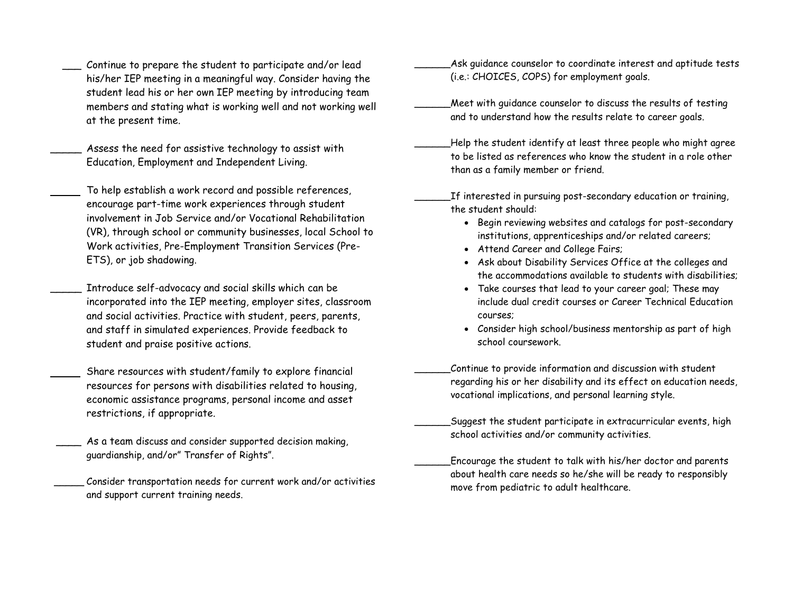- Continue to prepare the student to participate and/or lead his/her IEP meeting in a meaningful way. Consider having the student lead his or her own IEP meeting by introducing team members and stating what is working well and not working well at the present time.
- Assess the need for assistive technology to assist with Education, Employment and Independent Living.
- To help establish a work record and possible references, encourage part-time work experiences through student involvement in Job Service and/or Vocational Rehabilitation (VR), through school or community businesses, local School to Work activities, Pre-Employment Transition Services (Pre-ETS), or job shadowing.
- Introduce self-advocacy and social skills which can be incorporated into the IEP meeting, employer sites, classroom and social activities. Practice with student, peers, parents, and staff in simulated experiences. Provide feedback to student and praise positive actions.
	- Share resources with student/family to explore financial resources for persons with disabilities related to housing, economic assistance programs, personal income and asset restrictions, if appropriate.
- As a team discuss and consider supported decision making, guardianship, and/or" Transfer of Rights".
	- Consider transportation needs for current work and/or activities and support current training needs.
- Ask guidance counselor to coordinate interest and aptitude tests (i.e.: CHOICES, COPS) for employment goals.
- Meet with quidance counselor to discuss the results of testing and to understand how the results relate to career goals.
- \_Help the student identify at least three people who might agree to be listed as references who know the student in a role other than as a family member or friend.
- \_\_\_\_\_\_If interested in pursuing post-secondary education or training, the student should:
	- Begin reviewing websites and catalogs for post-secondary institutions, apprenticeships and/or related careers;
	- Attend Career and College Fairs;
	- Ask about Disability Services Office at the colleges and the accommodations available to students with disabilities;
	- Take courses that lead to your career goal; These may include dual credit courses or Career Technical Education courses;
	- Consider high school/business mentorship as part of high school coursework.
	- \_\_\_\_\_\_Continue to provide information and discussion with student regarding his or her disability and its effect on education needs, vocational implications, and personal learning style.
- Suggest the student participate in extracurricular events, high school activities and/or community activities.
- \_\_\_\_\_\_Encourage the student to talk with his/her doctor and parents about health care needs so he/she will be ready to responsibly move from pediatric to adult healthcare.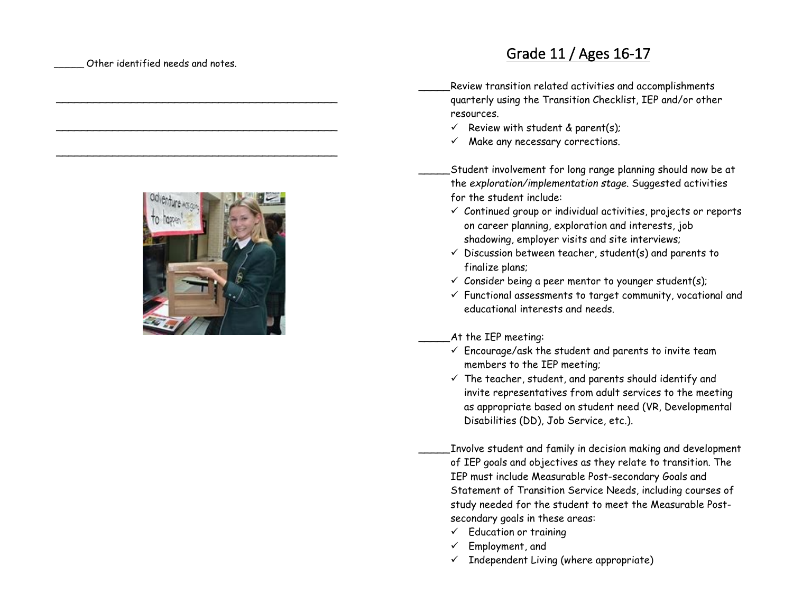Other identified needs and notes.

 $\overline{\phantom{a}}$  , where the contract of the contract of the contract of the contract of the contract of the contract of the contract of the contract of the contract of the contract of the contract of the contract of the contr

\_\_\_\_\_\_\_\_\_\_\_\_\_\_\_\_\_\_\_\_\_\_\_\_\_\_\_\_\_\_\_\_\_\_\_\_\_\_\_\_\_\_\_\_\_

 $\overline{\phantom{a}}$  , where the contract of the contract of the contract of the contract of the contract of the contract of the contract of the contract of the contract of the contract of the contract of the contract of the contr

# Grade 11 / Ages 16-17

 \_\_\_\_\_ Review transition related activities and accomplishments quarterly using the Transition Checklist, IEP and/or other resources.

- $\checkmark$  Review with student & parent(s);
- $\checkmark$  Make any necessary corrections.

 \_\_\_\_\_ Student involvement for long range planning should now be at the *exploration/implementation stage*. Suggested activities for the student include:

- $\checkmark$  Continued group or individual activities, projects or reports on career planning, exploration and interests, job shadowing, employer visits and site interviews;
- $\checkmark$  Discussion between teacher, student(s) and parents to finalize plans;
- $\checkmark$  Consider being a peer mentor to younger student(s);
- $\checkmark$  Functional assessments to target community, vocational and educational interests and needs.

At the IEP meeting:

- $\checkmark$  Encourage/ask the student and parents to invite team members to the IEP meeting;
- $\checkmark$  The teacher, student, and parents should identify and invite representatives from adult services to the meeting as appropriate based on student need (VR, Developmental Disabilities (DD), Job Service, etc.).

 \_\_\_\_\_ Involve student and family in decision making and development of IEP goals and objectives as they relate to transition. The IEP must include Measurable Post-secondary Goals and Statement of Transition Service Needs, including courses of study needed for the student to meet the Measurable Postsecondary goals in these areas:

- $\checkmark$  Education or training
- $\checkmark$  Employment, and
- $\checkmark$  Independent Living (where appropriate)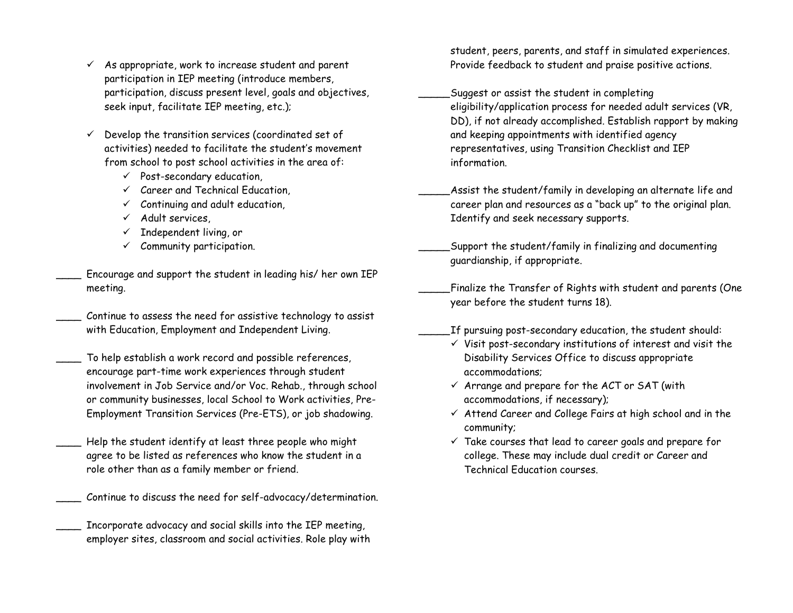- $\checkmark$  As appropriate, work to increase student and parent participation in IEP meeting (introduce members, participation, discuss present level, goals and objectives, seek input, facilitate IEP meeting, etc.);
- $\checkmark$  Develop the transition services (coordinated set of activities) needed to facilitate the student's movement from school to post school activities in the area of:
	- $\checkmark$  Post-secondary education,
	- $\checkmark$  Career and Technical Education,
	- $\checkmark$  Continuing and adult education,
	- $\checkmark$  Adult services
	- Independent living, or
	- $\checkmark$  Community participation.
- Encourage and support the student in leading his/ her own IEP meeting.
	- Continue to assess the need for assistive technology to assist with Education, Employment and Independent Living.
	- To help establish a work record and possible references, encourage part-time work experiences through student involvement in Job Service and/or Voc. Rehab., through school or community businesses, local School to Work activities, Pre-Employment Transition Services (Pre-ETS), or job shadowing.
- Help the student identify at least three people who might agree to be listed as references who know the student in a role other than as a family member or friend.
- Continue to discuss the need for self-advocacy/determination.
- Incorporate advocacy and social skills into the IEP meeting, employer sites, classroom and social activities. Role play with

student, peers, parents, and staff in simulated experiences. Provide feedback to student and praise positive actions.

- Suggest or assist the student in completing eligibility/application process for needed adult services (VR, DD), if not already accomplished. Establish rapport by making and keeping appointments with identified agency representatives, using Transition Checklist and IEP information.
- \_\_\_\_\_Assist the student/family in developing an alternate life and career plan and resources as a "back up" to the original plan. Identify and seek necessary supports.
- \_\_\_\_\_Support the student/family in finalizing and documenting guardianship, if appropriate.
- \_\_\_\_\_Finalize the Transfer of Rights with student and parents (One year before the student turns 18).
- \_\_\_\_\_If pursuing post-secondary education, the student should:
	- $\checkmark$  Visit post-secondary institutions of interest and visit the Disability Services Office to discuss appropriate accommodations;
	- $\checkmark$  Arrange and prepare for the ACT or SAT (with accommodations, if necessary);
	- $\checkmark$  Attend Career and College Fairs at high school and in the community;
	- $\checkmark$  Take courses that lead to career goals and prepare for college. These may include dual credit or Career and Technical Education courses.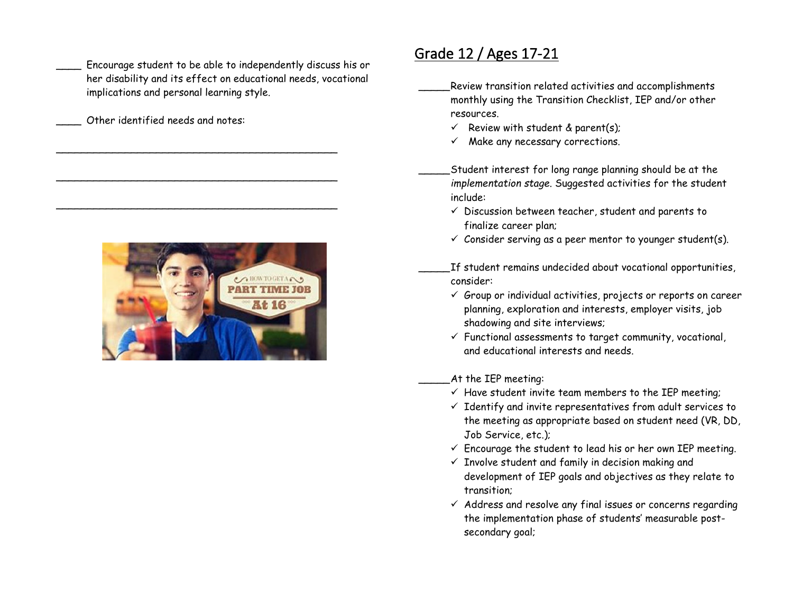Encourage student to be able to independently discuss his or her disability and its effect on educational needs, vocational implications and personal learning style.

 $\overline{\phantom{a}}$  , and the contract of the contract of the contract of the contract of the contract of the contract of the contract of the contract of the contract of the contract of the contract of the contract of the contrac

 $\overline{\phantom{a}}$  , and the contract of the contract of the contract of the contract of the contract of the contract of the contract of the contract of the contract of the contract of the contract of the contract of the contrac

\_\_\_\_\_\_\_\_\_\_\_\_\_\_\_\_\_\_\_\_\_\_\_\_\_\_\_\_\_\_\_\_\_\_\_\_\_\_\_\_\_\_\_\_\_

Other identified needs and notes:



#### Grade 12 / Ages 17-21

 \_\_\_\_\_ Review transition related activities and accomplishments monthly using the Transition Checklist, IEP and/or other resources.

- $\checkmark$  Review with student & parent(s);
- $\checkmark$  Make any necessary corrections.

 \_\_\_\_\_ Student interest for long range planning should be at the *implementation stage*. Suggested activities for the student include:

- $\checkmark$  Discussion between teacher, student and parents to finalize career plan;
- $\checkmark$  Consider serving as a peer mentor to younger student(s).

 \_\_\_\_\_ If student remains undecided about vocational opportunities, consider:

- $\checkmark$  Group or individual activities, projects or reports on career planning, exploration and interests, employer visits, job shadowing and site interviews;
- $\checkmark$  Functional assessments to target community, vocational, and educational interests and needs.

At the IEP meeting:

- $\checkmark$  Have student invite team members to the IEP meeting;
- $\checkmark$  Identify and invite representatives from adult services to the meeting as appropriate based on student need (VR, DD, Job Service, etc.);
- $\checkmark$  Encourage the student to lead his or her own IEP meeting.
- $\checkmark$  Involve student and family in decision making and development of IEP goals and objectives as they relate to transition;
- $\checkmark$  Address and resolve any final issues or concerns regarding the implementation phase of students' measurable postsecondary goal;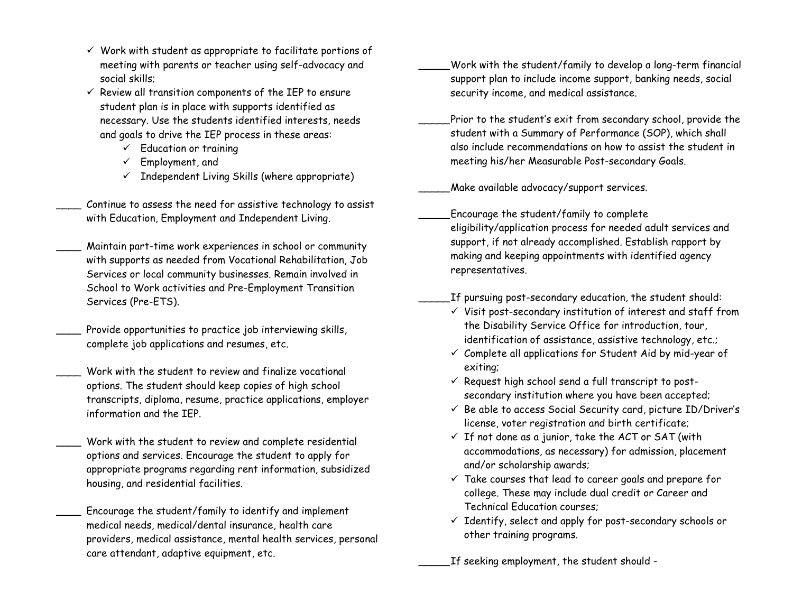- $\checkmark$  Work with student as appropriate to facilitate portions of meeting with parents or teacher using self-advocacy and social skills;
- $\checkmark$  Review all transition components of the IEP to ensure student plan is in place with supports identified as necessary. Use the students identified interests, needs and goals to drive the IEP process in these areas:
	- $\checkmark$  Education or training
	- $\checkmark$  Employment, and
	- $\checkmark$  Independent Living Skills (where appropriate)
- Continue to assess the need for assistive technology to assist with Education, Employment and Independent Living.
- Maintain part-time work experiences in school or community with supports as needed from Vocational Rehabilitation, Job Services or local community businesses. Remain involved in School to Work activities and Pre-Employment Transition Services (Pre-ETS).
- Provide opportunities to practice job interviewing skills, complete job applications and resumes, etc.
- Work with the student to review and finalize vocational options. The student should keep copies of high school transcripts, diploma, resume, practice applications, employer information and the IEP.
- Work with the student to review and complete residential options and services. Encourage the student to apply for appropriate programs regarding rent information, subsidized housing, and residential facilities.
- Encourage the student/family to identify and implement medical needs, medical/dental insurance, health care providers, medical assistance, mental health services, personal care attendant, adaptive equipment, etc.
- \_\_\_\_\_Work with the student/family to develop a long-term financial support plan to include income support, banking needs, social security income, and medical assistance.
- Prior to the student's exit from secondary school, provide the student with a Summary of Performance (SOP), which shall also include recommendations on how to assist the student in meeting his/her Measurable Post-secondary Goals.

\_\_\_\_\_Make available advocacy/support services.

\_\_\_\_\_Encourage the student/family to complete eligibility/application process for needed adult services and support, if not already accomplished. Establish rapport by making and keeping appointments with identified agency representatives.

\_\_\_\_\_If pursuing post-secondary education, the student should:

- $\checkmark$  Visit post-secondary institution of interest and staff from the Disability Service Office for introduction, tour, identification of assistance, assistive technology, etc.;
- $\checkmark$  Complete all applications for Student Aid by mid-year of exiting;
- $\checkmark$  Request high school send a full transcript to postsecondary institution where you have been accepted;
- $\checkmark$  Be able to access Social Security card, picture ID/Driver's license, voter registration and birth certificate;
- $\checkmark$  If not done as a junior, take the ACT or SAT (with accommodations, as necessary) for admission, placement and/or scholarship awards;
- $\checkmark$  Take courses that lead to career goals and prepare for college. These may include dual credit or Career and Technical Education courses;
- $\checkmark$  Identify, select and apply for post-secondary schools or other training programs.

\_\_\_\_\_If seeking employment, the student should -